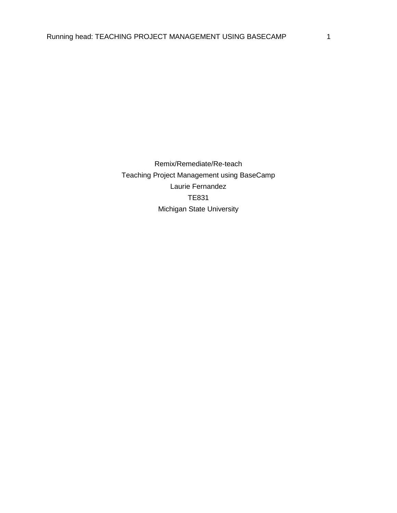Remix/Remediate/Re-teach Teaching Project Management using BaseCamp Laurie Fernandez TE831 Michigan State University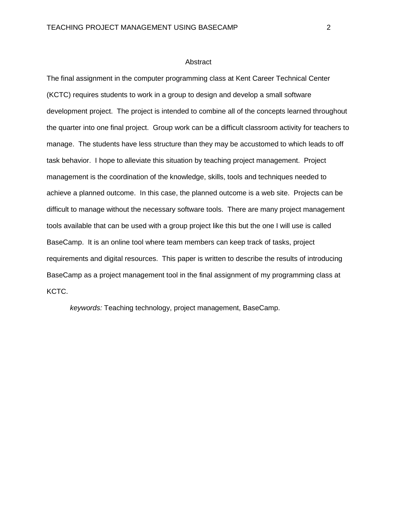### **Abstract**

The final assignment in the computer programming class at Kent Career Technical Center (KCTC) requires students to work in a group to design and develop a small software development project. The project is intended to combine all of the concepts learned throughout the quarter into one final project. Group work can be a difficult classroom activity for teachers to manage. The students have less structure than they may be accustomed to which leads to off task behavior. I hope to alleviate this situation by teaching project management. Project management is the coordination of the knowledge, skills, tools and techniques needed to achieve a planned outcome. In this case, the planned outcome is a web site. Projects can be difficult to manage without the necessary software tools. There are many project management tools available that can be used with a group project like this but the one I will use is called BaseCamp. It is an online tool where team members can keep track of tasks, project requirements and digital resources. This paper is written to describe the results of introducing BaseCamp as a project management tool in the final assignment of my programming class at KCTC.

*keywords:* Teaching technology, project management, BaseCamp.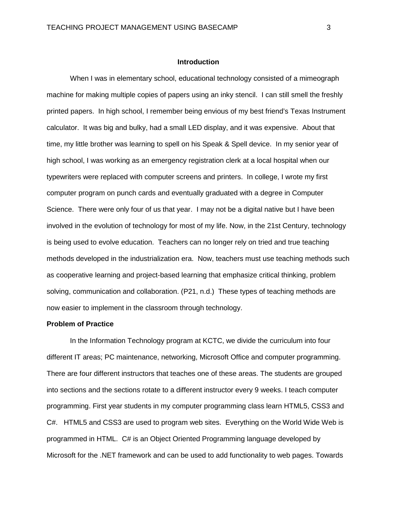### **Introduction**

When I was in elementary school, educational technology consisted of a mimeograph machine for making multiple copies of papers using an inky stencil. I can still smell the freshly printed papers. In high school, I remember being envious of my best friend's Texas Instrument calculator. It was big and bulky, had a small LED display, and it was expensive. About that time, my little brother was learning to spell on his Speak & Spell device. In my senior year of high school, I was working as an emergency registration clerk at a local hospital when our typewriters were replaced with computer screens and printers. In college, I wrote my first computer program on punch cards and eventually graduated with a degree in Computer Science. There were only four of us that year. I may not be a digital native but I have been involved in the evolution of technology for most of my life. Now, in the 21st Century, technology is being used to evolve education. Teachers can no longer rely on tried and true teaching methods developed in the industrialization era. Now, teachers must use teaching methods such as cooperative learning and project-based learning that emphasize critical thinking, problem solving, communication and collaboration. (P21, n.d.) These types of teaching methods are now easier to implement in the classroom through technology.

## **Problem of Practice**

In the Information Technology program at KCTC, we divide the curriculum into four different IT areas; PC maintenance, networking, Microsoft Office and computer programming. There are four different instructors that teaches one of these areas. The students are grouped into sections and the sections rotate to a different instructor every 9 weeks. I teach computer programming. First year students in my computer programming class learn HTML5, CSS3 and C#. HTML5 and CSS3 are used to program web sites. Everything on the World Wide Web is programmed in HTML. C# is an Object Oriented Programming language developed by Microsoft for the .NET framework and can be used to add functionality to web pages. Towards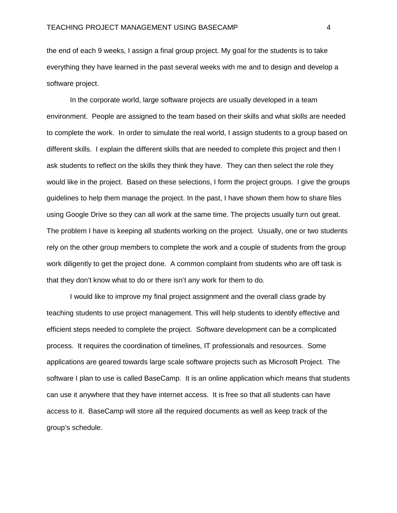the end of each 9 weeks, I assign a final group project. My goal for the students is to take everything they have learned in the past several weeks with me and to design and develop a software project.

In the corporate world, large software projects are usually developed in a team environment. People are assigned to the team based on their skills and what skills are needed to complete the work. In order to simulate the real world, I assign students to a group based on different skills. I explain the different skills that are needed to complete this project and then I ask students to reflect on the skills they think they have. They can then select the role they would like in the project. Based on these selections, I form the project groups. I give the groups guidelines to help them manage the project. In the past, I have shown them how to share files using Google Drive so they can all work at the same time. The projects usually turn out great. The problem I have is keeping all students working on the project. Usually, one or two students rely on the other group members to complete the work and a couple of students from the group work diligently to get the project done. A common complaint from students who are off task is that they don't know what to do or there isn't any work for them to do.

I would like to improve my final project assignment and the overall class grade by teaching students to use project management. This will help students to identify effective and efficient steps needed to complete the project. Software development can be a complicated process. It requires the coordination of timelines, IT professionals and resources. Some applications are geared towards large scale software projects such as Microsoft Project. The software I plan to use is called BaseCamp. It is an online application which means that students can use it anywhere that they have internet access. It is free so that all students can have access to it. BaseCamp will store all the required documents as well as keep track of the group's schedule.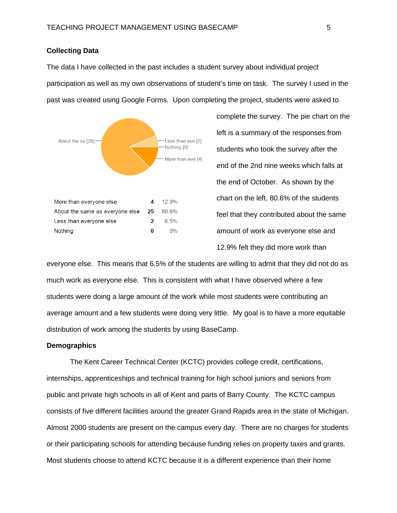## **Collecting Data**

The data I have collected in the past includes a student survey about individual project participation as well as my own observations of student's time on task. The survey I used in the past was created using Google Forms. Upon completing the project, students were asked to



complete the survey. The pie chart on the left is a summary of the responses from students who took the survey after the end of the 2nd nine weeks which falls at the end of October. As shown by the chart on the left, 80.6% of the students feel that they contributed about the same amount of work as everyone else and 12.9% felt they did more work than

everyone else. This means that 6.5% of the students are willing to admit that they did not do as much work as everyone else. This is consistent with what I have observed where a few students were doing a large amount of the work while most students were contributing an average amount and a few students were doing very little. My goal is to have a more equitable distribution of work among the students by using BaseCamp.

### **Demographics**

The Kent Career Technical Center (KCTC) provides college credit, certifications, internships, apprenticeships and technical training for high school juniors and seniors from public and private high schools in all of Kent and parts of Barry County. The KCTC campus consists of five different facilities around the greater Grand Rapids area in the state of Michigan. Almost 2000 students are present on the campus every day. There are no charges for students or their participating schools for attending because funding relies on property taxes and grants. Most students choose to attend KCTC because it is a different experience than their home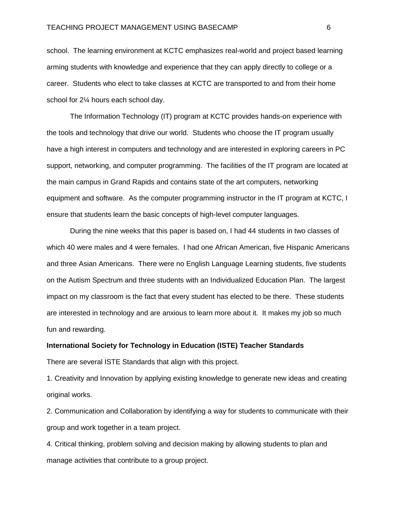school. The learning environment at KCTC emphasizes real-world and project based learning arming students with knowledge and experience that they can apply directly to college or a career. Students who elect to take classes at KCTC are transported to and from their home school for 2¼ hours each school day.

The Information Technology (IT) program at KCTC provides hands-on experience with the tools and technology that drive our world. Students who choose the IT program usually have a high interest in computers and technology and are interested in exploring careers in PC support, networking, and computer programming. The facilities of the IT program are located at the main campus in Grand Rapids and contains state of the art computers, networking equipment and software. As the computer programming instructor in the IT program at KCTC, I ensure that students learn the basic concepts of high-level computer languages.

During the nine weeks that this paper is based on, I had 44 students in two classes of which 40 were males and 4 were females. I had one African American, five Hispanic Americans and three Asian Americans. There were no English Language Learning students, five students on the Autism Spectrum and three students with an Individualized Education Plan. The largest impact on my classroom is the fact that every student has elected to be there. These students are interested in technology and are anxious to learn more about it. It makes my job so much fun and rewarding.

## **International Society for Technology in Education (ISTE) Teacher Standards**

There are several ISTE Standards that align with this project.

1. Creativity and Innovation by applying existing knowledge to generate new ideas and creating original works.

2. Communication and Collaboration by identifying a way for students to communicate with their group and work together in a team project.

4. Critical thinking, problem solving and decision making by allowing students to plan and manage activities that contribute to a group project.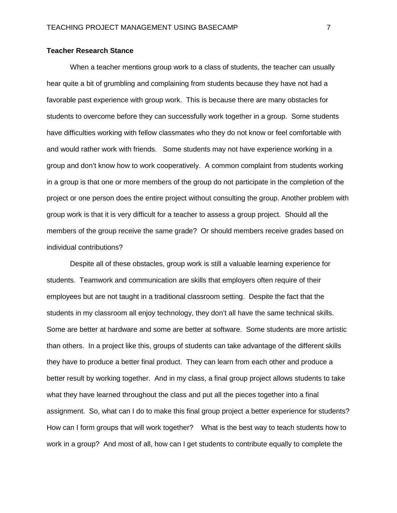## **Teacher Research Stance**

When a teacher mentions group work to a class of students, the teacher can usually hear quite a bit of grumbling and complaining from students because they have not had a favorable past experience with group work. This is because there are many obstacles for students to overcome before they can successfully work together in a group. Some students have difficulties working with fellow classmates who they do not know or feel comfortable with and would rather work with friends. Some students may not have experience working in a group and don't know how to work cooperatively. A common complaint from students working in a group is that one or more members of the group do not participate in the completion of the project or one person does the entire project without consulting the group. Another problem with group work is that it is very difficult for a teacher to assess a group project. Should all the members of the group receive the same grade? Or should members receive grades based on individual contributions?

Despite all of these obstacles, group work is still a valuable learning experience for students. Teamwork and communication are skills that employers often require of their employees but are not taught in a traditional classroom setting. Despite the fact that the students in my classroom all enjoy technology, they don't all have the same technical skills. Some are better at hardware and some are better at software. Some students are more artistic than others. In a project like this, groups of students can take advantage of the different skills they have to produce a better final product. They can learn from each other and produce a better result by working together. And in my class, a final group project allows students to take what they have learned throughout the class and put all the pieces together into a final assignment. So, what can I do to make this final group project a better experience for students? How can I form groups that will work together? What is the best way to teach students how to work in a group? And most of all, how can I get students to contribute equally to complete the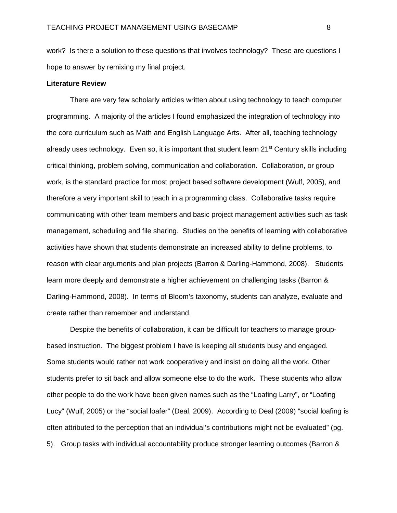work? Is there a solution to these questions that involves technology? These are questions I hope to answer by remixing my final project.

### **Literature Review**

There are very few scholarly articles written about using technology to teach computer programming. A majority of the articles I found emphasized the integration of technology into the core curriculum such as Math and English Language Arts. After all, teaching technology already uses technology. Even so, it is important that student learn  $21<sup>st</sup>$  Century skills including critical thinking, problem solving, communication and collaboration. Collaboration, or group work, is the standard practice for most project based software development (Wulf, 2005), and therefore a very important skill to teach in a programming class. Collaborative tasks require communicating with other team members and basic project management activities such as task management, scheduling and file sharing. Studies on the benefits of learning with collaborative activities have shown that students demonstrate an increased ability to define problems, to reason with clear arguments and plan projects (Barron & Darling-Hammond, 2008). Students learn more deeply and demonstrate a higher achievement on challenging tasks (Barron & Darling-Hammond, 2008). In terms of Bloom's taxonomy, students can analyze, evaluate and create rather than remember and understand.

Despite the benefits of collaboration, it can be difficult for teachers to manage groupbased instruction. The biggest problem I have is keeping all students busy and engaged. Some students would rather not work cooperatively and insist on doing all the work. Other students prefer to sit back and allow someone else to do the work. These students who allow other people to do the work have been given names such as the "Loafing Larry", or "Loafing Lucy" (Wulf, 2005) or the "social loafer" (Deal, 2009). According to Deal (2009) "social loafing is often attributed to the perception that an individual's contributions might not be evaluated" (pg. 5). Group tasks with individual accountability produce stronger learning outcomes (Barron &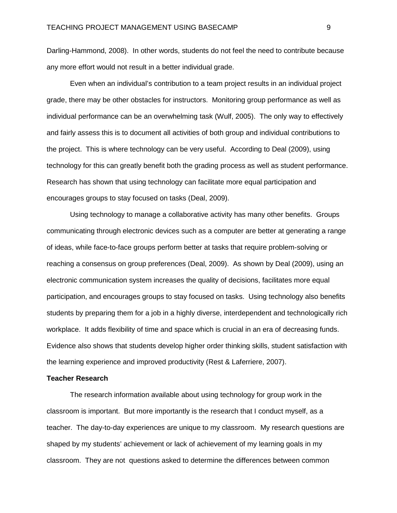Darling-Hammond, 2008). In other words, students do not feel the need to contribute because any more effort would not result in a better individual grade.

Even when an individual's contribution to a team project results in an individual project grade, there may be other obstacles for instructors. Monitoring group performance as well as individual performance can be an overwhelming task (Wulf, 2005). The only way to effectively and fairly assess this is to document all activities of both group and individual contributions to the project. This is where technology can be very useful. According to Deal (2009), using technology for this can greatly benefit both the grading process as well as student performance. Research has shown that using technology can facilitate more equal participation and encourages groups to stay focused on tasks (Deal, 2009).

Using technology to manage a collaborative activity has many other benefits. Groups communicating through electronic devices such as a computer are better at generating a range of ideas, while face-to-face groups perform better at tasks that require problem-solving or reaching a consensus on group preferences (Deal, 2009). As shown by Deal (2009), using an electronic communication system increases the quality of decisions, facilitates more equal participation, and encourages groups to stay focused on tasks. Using technology also benefits students by preparing them for a job in a highly diverse, interdependent and technologically rich workplace. It adds flexibility of time and space which is crucial in an era of decreasing funds. Evidence also shows that students develop higher order thinking skills, student satisfaction with the learning experience and improved productivity (Rest & Laferriere, 2007).

### **Teacher Research**

The research information available about using technology for group work in the classroom is important. But more importantly is the research that I conduct myself, as a teacher. The day-to-day experiences are unique to my classroom. My research questions are shaped by my students' achievement or lack of achievement of my learning goals in my classroom. They are not questions asked to determine the differences between common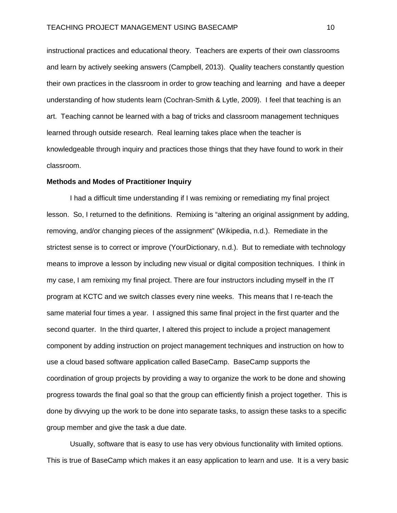instructional practices and educational theory. Teachers are experts of their own classrooms and learn by actively seeking answers (Campbell, 2013). Quality teachers constantly question their own practices in the classroom in order to grow teaching and learning and have a deeper understanding of how students learn (Cochran-Smith & Lytle, 2009). I feel that teaching is an art. Teaching cannot be learned with a bag of tricks and classroom management techniques learned through outside research. Real learning takes place when the teacher is knowledgeable through inquiry and practices those things that they have found to work in their classroom.

## **Methods and Modes of Practitioner Inquiry**

I had a difficult time understanding if I was remixing or remediating my final project lesson. So, I returned to the definitions. Remixing is "altering an original assignment by adding, removing, and/or changing pieces of the assignment" (Wikipedia, n.d.). Remediate in the strictest sense is to correct or improve (YourDictionary, n.d.). But to remediate with technology means to improve a lesson by including new visual or digital composition techniques. I think in my case, I am remixing my final project. There are four instructors including myself in the IT program at KCTC and we switch classes every nine weeks. This means that I re-teach the same material four times a year. I assigned this same final project in the first quarter and the second quarter. In the third quarter, I altered this project to include a project management component by adding instruction on project management techniques and instruction on how to use a cloud based software application called BaseCamp. BaseCamp supports the coordination of group projects by providing a way to organize the work to be done and showing progress towards the final goal so that the group can efficiently finish a project together. This is done by divvying up the work to be done into separate tasks, to assign these tasks to a specific group member and give the task a due date.

Usually, software that is easy to use has very obvious functionality with limited options. This is true of BaseCamp which makes it an easy application to learn and use. It is a very basic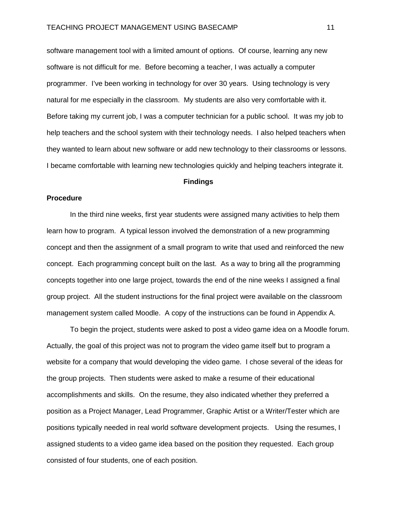software management tool with a limited amount of options. Of course, learning any new software is not difficult for me. Before becoming a teacher, I was actually a computer programmer. I've been working in technology for over 30 years. Using technology is very natural for me especially in the classroom. My students are also very comfortable with it. Before taking my current job, I was a computer technician for a public school. It was my job to help teachers and the school system with their technology needs. I also helped teachers when they wanted to learn about new software or add new technology to their classrooms or lessons. I became comfortable with learning new technologies quickly and helping teachers integrate it.

### **Findings**

### **Procedure**

In the third nine weeks, first year students were assigned many activities to help them learn how to program. A typical lesson involved the demonstration of a new programming concept and then the assignment of a small program to write that used and reinforced the new concept. Each programming concept built on the last. As a way to bring all the programming concepts together into one large project, towards the end of the nine weeks I assigned a final group project. All the student instructions for the final project were available on the classroom management system called Moodle. A copy of the instructions can be found in Appendix A.

To begin the project, students were asked to post a video game idea on a Moodle forum. Actually, the goal of this project was not to program the video game itself but to program a website for a company that would developing the video game. I chose several of the ideas for the group projects. Then students were asked to make a resume of their educational accomplishments and skills. On the resume, they also indicated whether they preferred a position as a Project Manager, Lead Programmer, Graphic Artist or a Writer/Tester which are positions typically needed in real world software development projects. Using the resumes, I assigned students to a video game idea based on the position they requested. Each group consisted of four students, one of each position.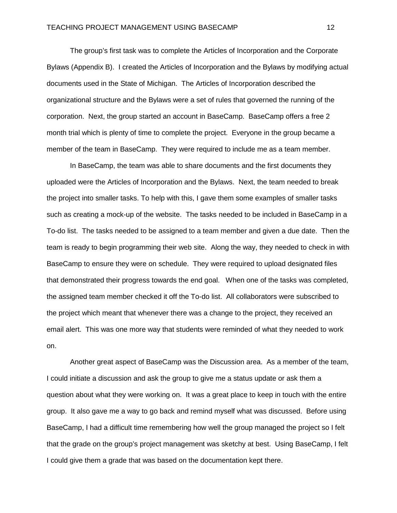The group's first task was to complete the Articles of Incorporation and the Corporate Bylaws (Appendix B). I created the Articles of Incorporation and the Bylaws by modifying actual documents used in the State of Michigan. The Articles of Incorporation described the organizational structure and the Bylaws were a set of rules that governed the running of the corporation. Next, the group started an account in BaseCamp. BaseCamp offers a free 2 month trial which is plenty of time to complete the project. Everyone in the group became a member of the team in BaseCamp. They were required to include me as a team member.

In BaseCamp, the team was able to share documents and the first documents they uploaded were the Articles of Incorporation and the Bylaws. Next, the team needed to break the project into smaller tasks. To help with this, I gave them some examples of smaller tasks such as creating a mock-up of the website. The tasks needed to be included in BaseCamp in a To-do list. The tasks needed to be assigned to a team member and given a due date. Then the team is ready to begin programming their web site. Along the way, they needed to check in with BaseCamp to ensure they were on schedule. They were required to upload designated files that demonstrated their progress towards the end goal. When one of the tasks was completed, the assigned team member checked it off the To-do list. All collaborators were subscribed to the project which meant that whenever there was a change to the project, they received an email alert. This was one more way that students were reminded of what they needed to work on.

Another great aspect of BaseCamp was the Discussion area. As a member of the team, I could initiate a discussion and ask the group to give me a status update or ask them a question about what they were working on. It was a great place to keep in touch with the entire group. It also gave me a way to go back and remind myself what was discussed. Before using BaseCamp, I had a difficult time remembering how well the group managed the project so I felt that the grade on the group's project management was sketchy at best. Using BaseCamp, I felt I could give them a grade that was based on the documentation kept there.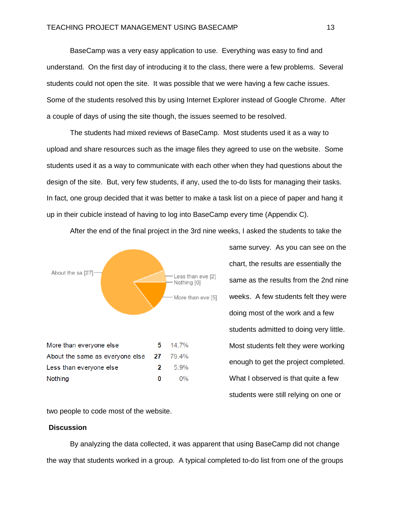BaseCamp was a very easy application to use. Everything was easy to find and understand. On the first day of introducing it to the class, there were a few problems. Several students could not open the site. It was possible that we were having a few cache issues. Some of the students resolved this by using Internet Explorer instead of Google Chrome. After a couple of days of using the site though, the issues seemed to be resolved.

The students had mixed reviews of BaseCamp. Most students used it as a way to upload and share resources such as the image files they agreed to use on the website. Some students used it as a way to communicate with each other when they had questions about the design of the site. But, very few students, if any, used the to-do lists for managing their tasks. In fact, one group decided that it was better to make a task list on a piece of paper and hang it up in their cubicle instead of having to log into BaseCamp every time (Appendix C).



After the end of the final project in the 3rd nine weeks, I asked the students to take the

same survey. As you can see on the chart, the results are essentially the same as the results from the 2nd nine weeks. A few students felt they were doing most of the work and a few students admitted to doing very little. Most students felt they were working enough to get the project completed. What I observed is that quite a few students were still relying on one or

two people to code most of the website.

### **Discussion**

By analyzing the data collected, it was apparent that using BaseCamp did not change the way that students worked in a group. A typical completed to-do list from one of the groups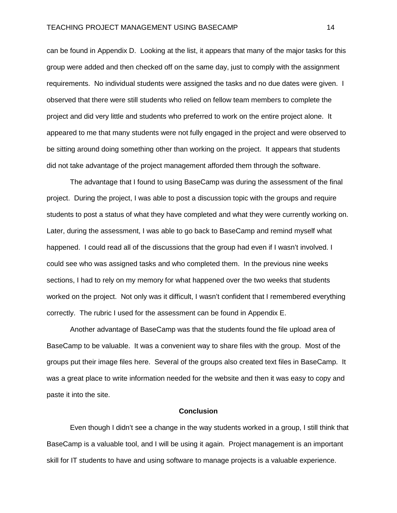can be found in Appendix D. Looking at the list, it appears that many of the major tasks for this group were added and then checked off on the same day, just to comply with the assignment requirements. No individual students were assigned the tasks and no due dates were given. I observed that there were still students who relied on fellow team members to complete the project and did very little and students who preferred to work on the entire project alone. It appeared to me that many students were not fully engaged in the project and were observed to be sitting around doing something other than working on the project. It appears that students did not take advantage of the project management afforded them through the software.

The advantage that I found to using BaseCamp was during the assessment of the final project. During the project, I was able to post a discussion topic with the groups and require students to post a status of what they have completed and what they were currently working on. Later, during the assessment, I was able to go back to BaseCamp and remind myself what happened. I could read all of the discussions that the group had even if I wasn't involved. I could see who was assigned tasks and who completed them. In the previous nine weeks sections, I had to rely on my memory for what happened over the two weeks that students worked on the project. Not only was it difficult, I wasn't confident that I remembered everything correctly. The rubric I used for the assessment can be found in Appendix E.

Another advantage of BaseCamp was that the students found the file upload area of BaseCamp to be valuable. It was a convenient way to share files with the group. Most of the groups put their image files here. Several of the groups also created text files in BaseCamp. It was a great place to write information needed for the website and then it was easy to copy and paste it into the site.

## **Conclusion**

Even though I didn't see a change in the way students worked in a group, I still think that BaseCamp is a valuable tool, and I will be using it again. Project management is an important skill for IT students to have and using software to manage projects is a valuable experience.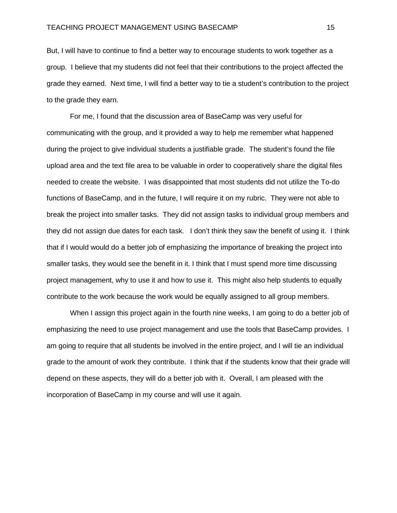But, I will have to continue to find a better way to encourage students to work together as a group. I believe that my students did not feel that their contributions to the project affected the grade they earned. Next time, I will find a better way to tie a student's contribution to the project to the grade they earn.

For me, I found that the discussion area of BaseCamp was very useful for communicating with the group, and it provided a way to help me remember what happened during the project to give individual students a justifiable grade. The student's found the file upload area and the text file area to be valuable in order to cooperatively share the digital files needed to create the website. I was disappointed that most students did not utilize the To-do functions of BaseCamp, and in the future, I will require it on my rubric. They were not able to break the project into smaller tasks. They did not assign tasks to individual group members and they did not assign due dates for each task. I don't think they saw the benefit of using it. I think that if I would would do a better job of emphasizing the importance of breaking the project into smaller tasks, they would see the benefit in it. I think that I must spend more time discussing project management, why to use it and how to use it. This might also help students to equally contribute to the work because the work would be equally assigned to all group members.

When I assign this project again in the fourth nine weeks, I am going to do a better job of emphasizing the need to use project management and use the tools that BaseCamp provides. I am going to require that all students be involved in the entire project, and I will tie an individual grade to the amount of work they contribute. I think that if the students know that their grade will depend on these aspects, they will do a better job with it. Overall, I am pleased with the incorporation of BaseCamp in my course and will use it again.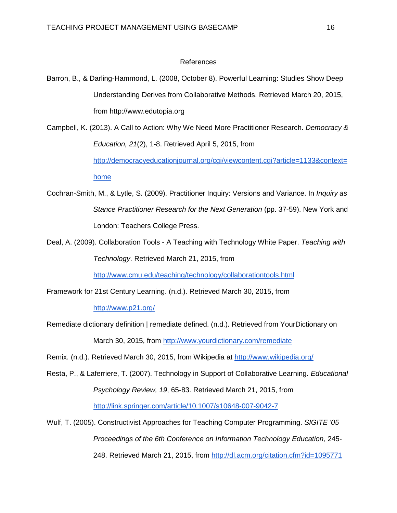## References

- Barron, B., & Darling-Hammond, L. (2008, October 8). Powerful Learning: Studies Show Deep Understanding Derives from Collaborative Methods. Retrieved March 20, 2015, from http://www.edutopia.org
- Campbell, K. (2013). A Call to Action: Why We Need More Practitioner Research. *Democracy & Education, 21*(2), 1-8. Retrieved April 5, 2015, from [http://democracyeducationjournal.org/cgi/viewcontent.cgi?article=1133&context=](http://democracyeducationjournal.org/cgi/viewcontent.cgi?article=1133&context=home) [home](http://democracyeducationjournal.org/cgi/viewcontent.cgi?article=1133&context=home)
- Cochran-Smith, M., & Lytle, S. (2009). Practitioner Inquiry: Versions and Variance. In *Inquiry as Stance Practitioner Research for the Next Generation* (pp. 37-59). New York and London: Teachers College Press.
- Deal, A. (2009). Collaboration Tools A Teaching with Technology White Paper. *Teaching with Technology*. Retrieved March 21, 2015, from

<http://www.cmu.edu/teaching/technology/collaborationtools.html>

Framework for 21st Century Learning. (n.d.). Retrieved March 30, 2015, from

<http://www.p21.org/>

Remediate dictionary definition | remediate defined. (n.d.). Retrieved from YourDictionary on March 30, 2015, from<http://www.yourdictionary.com/remediate>

Remix. (n.d.). Retrieved March 30, 2015, from Wikipedia at<http://www.wikipedia.org/>

Resta, P., & Laferriere, T. (2007). Technology in Support of Collaborative Learning. *Educational Psychology Review, 19*, 65-83. Retrieved March 21, 2015, from <http://link.springer.com/article/10.1007/s10648-007-9042-7>

Wulf, T. (2005). Constructivist Approaches for Teaching Computer Programming. *SIGITE '05 Proceedings of the 6th Conference on Information Technology Education,* 245- 248. Retrieved March 21, 2015, from<http://dl.acm.org/citation.cfm?id=1095771>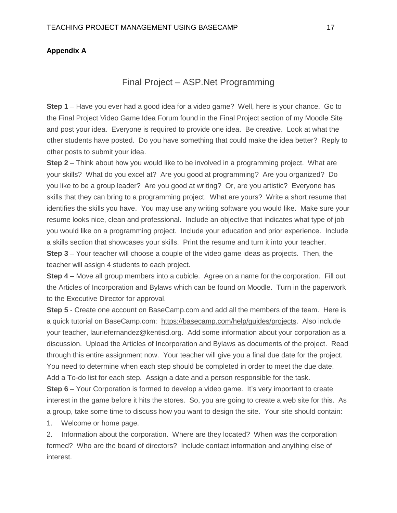## **Appendix A**

# Final Project – ASP.Net Programming

**Step 1** – Have you ever had a good idea for a video game? Well, here is your chance. Go to the Final Project Video Game Idea Forum found in the Final Project section of my Moodle Site and post your idea. Everyone is required to provide one idea. Be creative. Look at what the other students have posted. Do you have something that could make the idea better? Reply to other posts to submit your idea.

**Step 2** – Think about how you would like to be involved in a programming project. What are your skills? What do you excel at? Are you good at programming? Are you organized? Do you like to be a group leader? Are you good at writing? Or, are you artistic? Everyone has skills that they can bring to a programming project. What are yours? Write a short resume that identifies the skills you have. You may use any writing software you would like. Make sure your resume looks nice, clean and professional. Include an objective that indicates what type of job you would like on a programming project. Include your education and prior experience. Include a skills section that showcases your skills. Print the resume and turn it into your teacher. **Step 3** – Your teacher will choose a couple of the video game ideas as projects. Then, the teacher will assign 4 students to each project.

**Step 4** – Move all group members into a cubicle. Agree on a name for the corporation. Fill out the Articles of Incorporation and Bylaws which can be found on Moodle. Turn in the paperwork to the Executive Director for approval.

**Step 5** - Create one account on BaseCamp.com and add all the members of the team. Here is a quick tutorial on BaseCamp.com: [https://basecamp.com/help/guides/projects.](https://basecamp.com/help/guides/projects) Also include your teacher, lauriefernandez@kentisd.org. Add some information about your corporation as a discussion. Upload the Articles of Incorporation and Bylaws as documents of the project. Read through this entire assignment now. Your teacher will give you a final due date for the project. You need to determine when each step should be completed in order to meet the due date. Add a To-do list for each step. Assign a date and a person responsible for the task.

**Step 6** – Your Corporation is formed to develop a video game. It's very important to create interest in the game before it hits the stores. So, you are going to create a web site for this. As a group, take some time to discuss how you want to design the site. Your site should contain:

1. Welcome or home page.

2. Information about the corporation. Where are they located? When was the corporation formed? Who are the board of directors? Include contact information and anything else of interest.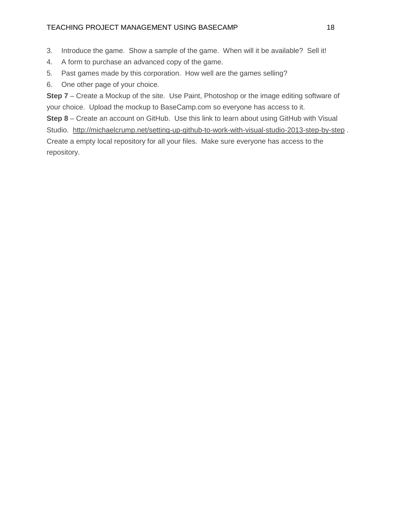## TEACHING PROJECT MANAGEMENT USING BASECAMP 18

- 3. Introduce the game. Show a sample of the game. When will it be available? Sell it!
- 4. A form to purchase an advanced copy of the game.
- 5. Past games made by this corporation. How well are the games selling?
- 6. One other page of your choice.

**Step 7** – Create a Mockup of the site. Use Paint, Photoshop or the image editing software of your choice. Upload the mockup to BaseCamp.com so everyone has access to it.

**Step 8** – Create an account on GitHub. Use this link to learn about using GitHub with Visual Studio.<http://michaelcrump.net/setting-up-github-to-work-with-visual-studio-2013-step-by-step> . Create a empty local repository for all your files. Make sure everyone has access to the repository.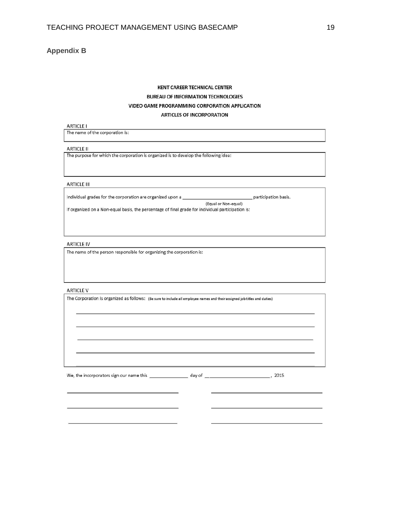## **Appendix B**

## **KENT CAREER TECHNICAL CENTER BUREAU OF INFORMATION TECHNOLOGIES** VIDEO GAME PROGRAMMING CORPORATION APPLICATION **ARTICLES OF INCORPORATION**

#### **ARTICLE I**

The name of the corporation is:

#### **ARTICLE II**

The purpose for which the corporation is organized is to develop the following idea:

### **ARTICLE III**

Individual grades for the corporation are organized upon a

\_ participation basis.

(Equal or Non-equal) If organized on a Non-equal basis, the percentage of final grade for individual participation is:

#### **ARTICLE IV**

The name of the person responsible for organizing the corporation is:

#### **ARTICLE V**

| The Corporation is organized as follows: (Be sure to include all employee names and their assigned job titles and duties) |
|---------------------------------------------------------------------------------------------------------------------------|
|                                                                                                                           |

We, the incorporators sign our name this \_\_\_\_\_\_\_\_\_\_\_\_\_\_\_\_\_\_ day of \_\_\_

 $\sim$  , 2015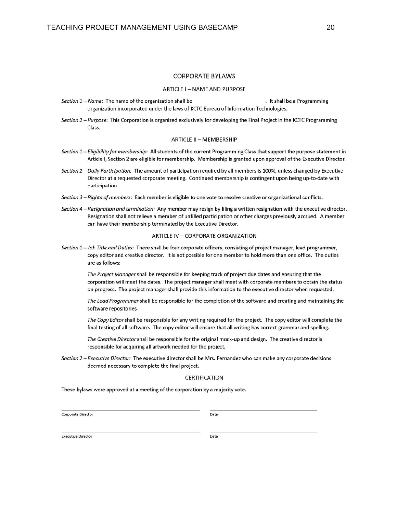### **CORPORATE BYLAWS**

#### **ARTICLE I - NAME AND PURPOSE**

- Section 1 Name: The name of the organization shall be . It shall be a Programming organization incorporated under the laws of KCTC Bureau of Information Technologies.
- Section 2 Purpose: This Corporation is organized exclusively for developing the Final Project in the KCTC Programming Class.

#### **ARTICLE II - MEMBERSHIP**

- Section 1 Eligibility for membership: All students of the current Programming Class that support the purpose statement in Article I, Section 2 are eligible for membership. Membership is granted upon approval of the Executive Director.
- Section 2 Daily Participation: The amount of participation required by all members is 100%, unless changed by Executive Director at a requested corporate meeting. Continued membership is contingent upon being up-to-date with participation.
- Section 3-Rights of members: Each member is eligible to one vote to resolve creative or organizational conflicts.
- Section 4 Resignation and termination: Any member may resign by filing a written resignation with the executive director. Resignation shall not relieve a member of unfilled participation or other charges previously accrued. A member can have their membership terminated by the Executive Director.

#### ARTICLE IV - CORPORATE ORGANIZATION

Section 1 - Job Title and Duties: There shall be four corporate officers, consisting of project manager, lead programmer, copy editor and creative director. It is not possible for one member to hold more than one office. The duties are as follows:

The Project Manager shall be responsible for keeping track of project due dates and ensuring that the corporation will meet the dates. The project manager shall meet with corporate members to obtain the status on progress. The project manager shall provide this information to the executive director when requested.

The Lead Programmer shall be responsible for the completion of the software and creating and maintaining the software repositories.

The Copy Editor shall be responsible for any writing required for the project. The copy editor will complete the final testing of all software. The copy editor will ensure that all writing has correct grammar and spelling.

The Creative Director shall be responsible for the original mock-up and design. The creative director is responsible for acquiring all artwork needed for the project.

Section 2 - Executive Director: The executive director shall be Mrs. Fernandez who can make any corporate decisions deemed necessary to complete the final project.

#### CERTIFICATION

These bylaws were approved at a meeting of the corporation by a majority vote.

Corporate Director

Date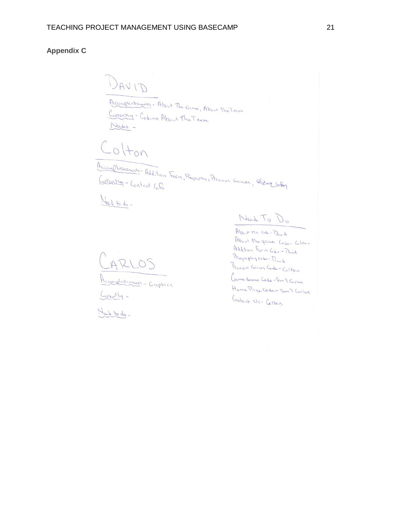## **Appendix C**

DAVID Accomplishments - About The Game, About The Team Currently - Codina About the Team Needes -

 $C_0$ Hon

Accomplishments-Addition Form, Biography, Previous Games, Capact Intog

Need to do -

Accompliationente - Graphics

Curently -<br>Nach to do -

Need To Do

About the case - David About the game Code Colton Add tion Form Code - Drink Biography code - David Previous Games Code-Colton Game derno Code-Ten & Cepher Home Prince Code - Seen & Circlos Cantact Us- Colton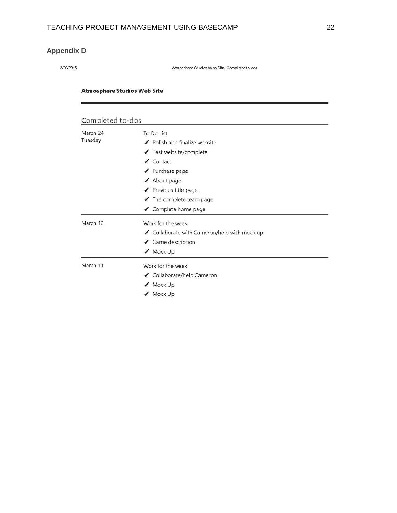# **Appendix D**

3/29/2015

Atmosphere Studios Web Site: Completed to-dos

## **Atmosphere Studios Web Site**

| Completed to-dos    |                                                                                                                                                                                                                        |
|---------------------|------------------------------------------------------------------------------------------------------------------------------------------------------------------------------------------------------------------------|
| March 24<br>Tuesday | To Do List<br>✔ Polish and finalize website<br>√ Test website/complete<br>$\sqrt{\phantom{a}}$ Contact<br>✔ Purchase page<br>✔ About page<br>✔ Previous title page<br>✔ The complete team page<br>✔ Complete home page |
| March 12            | Work for the week<br>✔ Collaborate with Cameron/help with mock up<br>✔ Game description<br>√ Mock Up                                                                                                                   |
| March 11            | Work for the week<br>✔ Collaborate/help Cameron<br>✔ Mock Up<br>Mock Up                                                                                                                                                |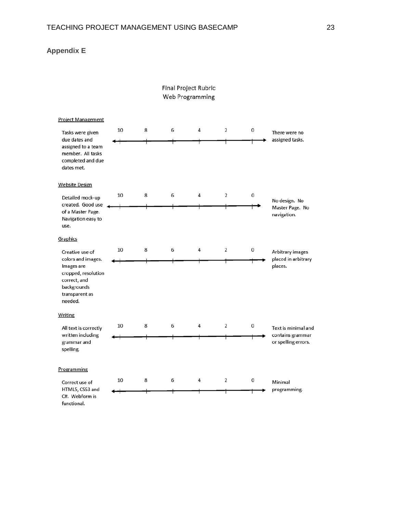## **Appendix E**

## **Final Project Rubric** Web Programming